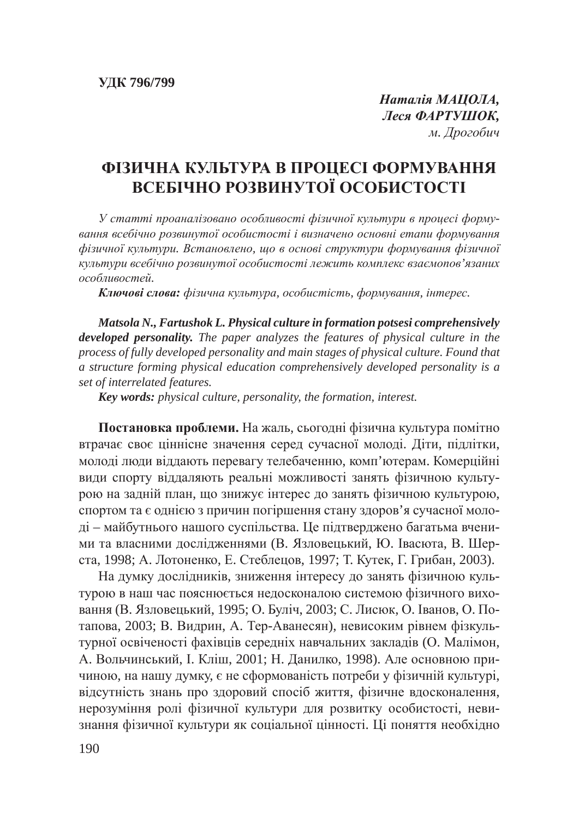**Наталія МАЦОЛА**,  $JecA$  **ФАРТУШОК**, *м. Дрогобич* 

## **ФІЗИЧНА КУЛЬТУРА В ПРОЦЕСІ ФОРМУВАННЯ ВСЕБІЧНО РОЗВИНУТОЇ ОСОБИСТОСТІ**

У статті проаналізовано особливості фізичної культури в процесі форму*ɜɚɧɧɹ ɜɫɟɛɿɱɧɨ ɪɨɡɜɢɧɭɬɨʀ ɨɫɨɛɢɫɬɨɫɬɿ ɿ ɜɢɡɧɚɱɟɧɨ ɨɫɧɨɜɧɿ ɟɬɚɩɢ ɮɨɪɦɭɜɚɧɧɹ*  $\phi$ *изичної культури. Встановлено, що в основі структури формування фізичної* **культури всебічно розвинутої особистості лежить комплекс взаємопов'язаних**  $\alpha$ *собливостей.* 

**Ключові слова:** фізична культура, особистість, формування, інтерес.

*Matsola N., Fartushok L. Physical culture in formation potsesi comprehensively developed personality. The paper analyzes the features of physical culture in the process of fully developed personality and main stages of physical culture. Found that a structure forming physical education comprehensively developed personality is a set of interrelated features.*

*Key words: physical culture, personality, the formation, interest.*

Постановка проблеми. На жаль, сьогодні фізична культура помітно втрачає своє ціннісне значення серед сучасної молоді. Діти, підлітки, молоді люди віддають перевагу телебаченню, комп'ютерам. Комерційні види спорту віддаляють реальні можливості занять фізичною культурою на задній план, що знижує інтерес до занять фізичною культурою, спортом та є однією з причин погіршення стану здоров'я сучасної молоді – майбутнього нашого суспільства. Це підтверджено багатьма вченими та власними дослідженнями (В. Язловецький, Ю. Івасюта, В. Шерста, 1998; А. Лотоненко, Е. Стеблецов, 1997; Т. Кутек, Г. Грибан, 2003).

На думку дослідників, зниження інтересу до занять фізичною культурою в наш час пояснюється недосконалою системою фізичного виховання (В. Язловецький, 1995; О. Буліч, 2003; С. Лисюк, О. Іванов, О. Потапова, 2003; В. Видрин, А. Тер-Аванесян), невисоким рівнем фізкультурної освіченості фахівців середніх навчальних закладів (О. Малімон, А. Вольчинський, І. Кліш, 2001; Н. Данилко, 1998). Але основною причиною, на нашу думку, є не сформованість потреби у фізичній культурі, відсутність знань про здоровий спосіб життя, фізичне вдосконалення, нерозуміння ролі фізичної культури для розвитку особистості, невизнання фізичної культури як соціальної цінності. Ці поняття необхідно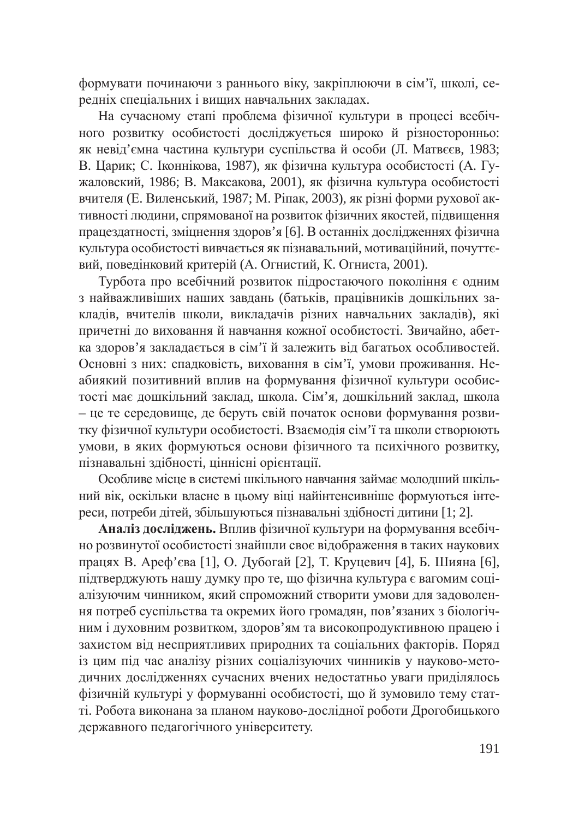формувати починаючи з раннього віку, закріплюючи в сім'ї, школі, середніх спеціальних і вищих навчальних закладах.

На сучасному етапі проблема фізичної культури в процесі всебічного розвитку особистості досліджується широко й різносторонньо: як невід'ємна частина культури суспільства й особи (Л. Матвєєв, 1983; В. Царик; С. Іконнікова, 1987), як фізична культура особистості (А. Гужаловский, 1986; В. Максакова, 2001), як фізична культура особистості вчителя (Е. Виленський, 1987; М. Ріпак, 2003), як різні форми рухової активності людини, спрямованої на розвиток фізичних якостей, підвищення працездатності, зміцнення здоров'я [6]. В останніх дослідженнях фізична культура особистості вивчається як пізнавальний, мотиваційний, почуттєвий, поведінковий критерій (А. Огнистий, К. Огниста, 2001).

Турбота про всебічний розвиток підростаючого покоління є одним з найважливіших наших завдань (батьків, працівників дошкільних закладів, вчителів школи, викладачів різних навчальних закладів), які причетні до виховання й навчання кожної особистості. Звичайно, абетка здоров'я закладається в сім'ї й залежить від багатьох особливостей. Основні з них: спадковість, виховання в сім'ї, умови проживання. Неабиякий позитивний вплив на формування фізичної культури особистості має дошкільний заклад, школа. Сім'я, дошкільний заклад, школа – це те середовище, де беруть свій початок основи формування розвитку фізичної культури особистості. Взаємодія сім'ї та школи створюють умови, в яких формуються основи фізичного та психічного розвитку, пізнавальні здібності, ціннісні орієнтації.

Особливе місце в системі шкільного навчання займає молодший шкільний вік, оскільки власне в цьому віці найінтенсивніше формуються інтереси, потреби дітей, збільшуються пізнавальні здібності дитини [1; 2].

Аналіз досліджень. Вплив фізичної культури на формування всебічно розвинутої особистості знайшли своє відображення в таких наукових працях В. Ареф'єва [1], О. Дубогай [2], Т. Круцевич [4], Б. Шияна [6], підтверджують нашу думку про те, що фізична культура є вагомим соціалізуючим чинником, який спроможний створити умови для задоволення потреб суспільства та окремих його громадян, пов'язаних з біологічним і духовним розвитком, здоров'ям та високопродуктивною працею і захистом від несприятливих природних та соціальних факторів. Поряд із цим під час аналізу різних соціалізуючих чинників у науково-методичних дослідженнях сучасних вчених недостатньо уваги приділялось фізичній культурі у формуванні особистості, що й зумовило тему статті. Робота виконана за планом науково-дослідної роботи Дрогобицького державного педагогічного університету.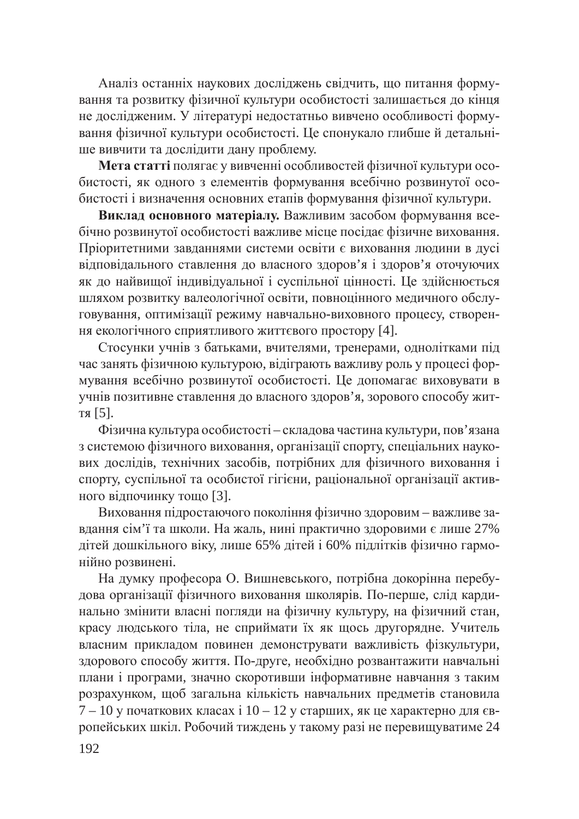Аналіз останніх наукових досліджень свідчить, що питання формування та розвитку фізичної культури особистості залишається до кінця не дослідженим. У літературі недостатньо вивчено особливості формування фізичної культури особистості. Це спонукало глибше й детальніше вивчити та дослідити дану проблему.

Мета статті полягає у вивченні особливостей фізичної культури особистості, як одного з елементів формування всебічно розвинутої особистості і визначення основних етапів формування фізичної культури.

Виклад основного матеріалу. Важливим засобом формування всебічно розвинутої особистості важливе місце посідає фізичне виховання. Пріоритетними завданнями системи освіти є виховання людини в дусі відповідального ставлення до власного здоров'я і здоров'я оточуючих як до найвищої індивідуальної і суспільної цінності. Це здійснюється шляхом розвитку валеологічної освіти, повноцінного медичного обслуговування, оптимізації режиму навчально-виховного процесу, створення екологічного сприятливого життєвого простору [4].

Стосунки учнів з батьками, вчителями, тренерами, однолітками під час занять фізичною культурою, відіграють важливу роль у процесі формування всебічно розвинутої особистості. Це допомагає виховувати в учнів позитивне ставлення до власного здоров'я, зорового способу життя  $[5]$ .

Фізична культура особистості – складова частина культури, пов'язана з системою фізичного виховання, організації спорту, спеціальних наукових дослідів, технічних засобів, потрібних для фізичного виховання і спорту, суспільної та особистої гігієни, раціональної організації активного відпочинку тощо [3].

Виховання підростаючого покоління фізично здоровим - важливе завдання сім'ї та школи. На жаль, нині практично здоровими є лише 27% дітей дошкільного віку, лише 65% дітей і 60% підлітків фізично гармонійно розвинені.

На думку професора О. Вишневського, потрібна докорінна перебудова організації фізичного виховання школярів. По-перше, слід кардинально змінити власні погляди на фізичну культуру, на фізичний стан, красу людського тіла, не сприймати їх як щось другорядне. Учитель власним прикладом повинен демонструвати важливість фізкультури, здорового способу життя. По-друге, необхідно розвантажити навчальні плани і програми, значно скоротивши інформативне навчання з таким розрахунком, щоб загальна кількість навчальних предметів становила 7 – 10 у початкових класах і 10 – 12 у старших, як це характерно для європейських шкіл. Робочий тиждень у такому разі не перевищуватиме 24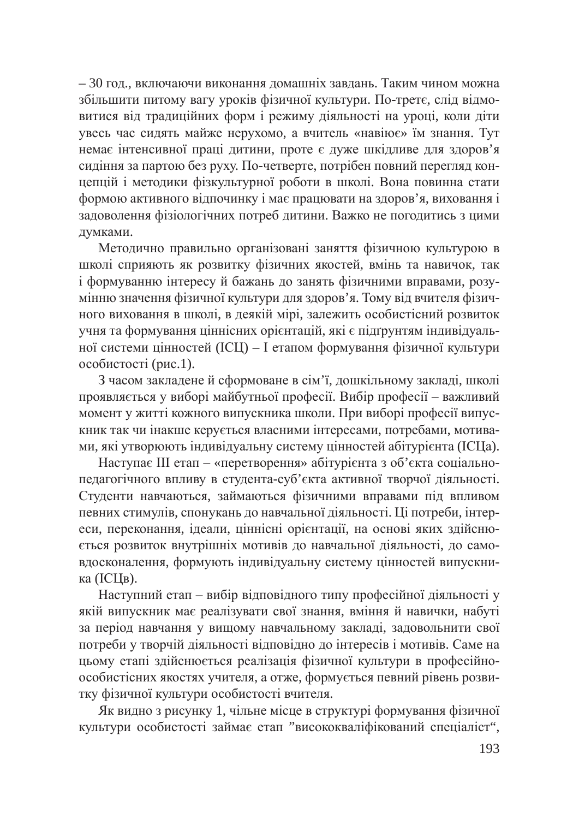– 30 год., включаючи виконання домашніх завдань. Таким чином можна збільшити питому вагу уроків фізичної культури. По-третє, слід відмовитися від традиційних форм і режиму діяльності на уроці, коли діти увесь час сидять майже нерухомо, а вчитель «навіює» їм знання. Тут немає інтенсивної праці дитини, проте є дуже шкідливе для здоров'я сидіння за партою без руху. По-четверте, потрібен повний перегляд концепцій і методики фізкультурної роботи в школі. Вона повинна стати формою активного відпочинку і має працювати на здоров'я, виховання і задоволення фізіологічних потреб дитини. Важко не погодитись з цими думками.

Методично правильно організовані заняття фізичною культурою в школі сприяють як розвитку фізичних якостей, вмінь та навичок, так і формуванню інтересу й бажань до занять фізичними вправами, розумінню значення фізичної культури для здоров'я. Тому від вчителя фізичного виховання в школі, в деякій мірі, залежить особистісний розвиток учня та формування ціннісних орієнтацій, які є підґрунтям індивідуальної системи цінностей (ІСЦ) – І етапом формування фізичної культури особистості (рис.1).

З часом закладене й сформоване в сім'ї, дошкільному закладі, школі проявляється у виборі майбутньої професії. Вибір професії – важливий момент у житті кожного випускника школи. При виборі професії випускник так чи інакше керується власними інтересами, потребами, мотивами, які утворюють індивідуальну систему цінностей абітурієнта (ІСЦа).

Наступає III етап – «перетворення» абітурієнта з об'єкта соціальнопедагогічного впливу в студента-суб'єкта активної творчої діяльності. Студенти навчаються, займаються фізичними вправами під впливом певних стимулів, спонукань до навчальної діяльності. Ці потреби, інтереси, переконання, ідеали, ціннісні орієнтації, на основі яких здійснюється розвиток внутрішніх мотивів до навчальної діяльності, до самовдосконалення, формують індивідуальну систему цінностей випускника (ICЦв).

Наступний етап – вибір відповідного типу професійної діяльності у якій випускник має реалізувати свої знання, вміння й навички, набуті за період навчання у вищому навчальному закладі, задовольнити свої потреби у творчій діяльності відповідно до інтересів і мотивів. Саме на цьому етапі здійснюється реалізація фізичної культури в професійноособистісних якостях учителя, а отже, формується певний рівень розвитку фізичної культури особистості вчителя.

Як видно з рисунку 1, чільне місце в структурі формування фізичної культури особистості займає етап "висококваліфікований спеціаліст",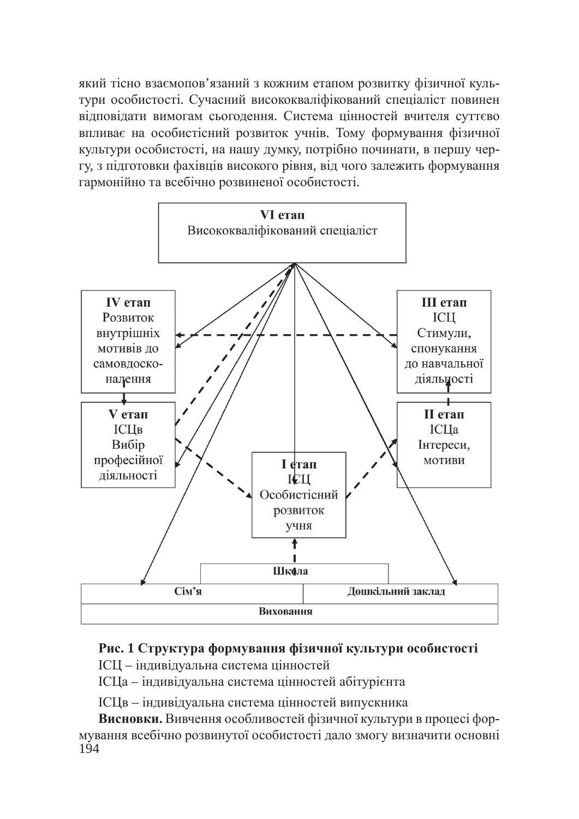який тісно взаємопов'язаний з кожним етапом розвитку фізичної культури особистості. Сучасний висококваліфікований спеціаліст повинен відповідати вимогам сьогодення. Система цінностей вчителя суттєво впливає на особистісний розвиток учнів. Тому формування фізичної культури особистості, на нашу думку, потрібно починати, в першу чергу, з підготовки фахівців високого рівня, від чого залежить формування гармонійно та всебічно розвиненої особистості.



## Рис. 1 Структура формування фізичної культури особистості

ICII – індивідуальна система цінностей

IСЦа – індивідуальна система цінностей абітурієнта

IСЦв – індивідуальна система цінностей випускника

194 **Висновки.** Вивчення особливостей фізичної культури в процесі формування всебічно розвинутої особистості дало змогу визначити основні